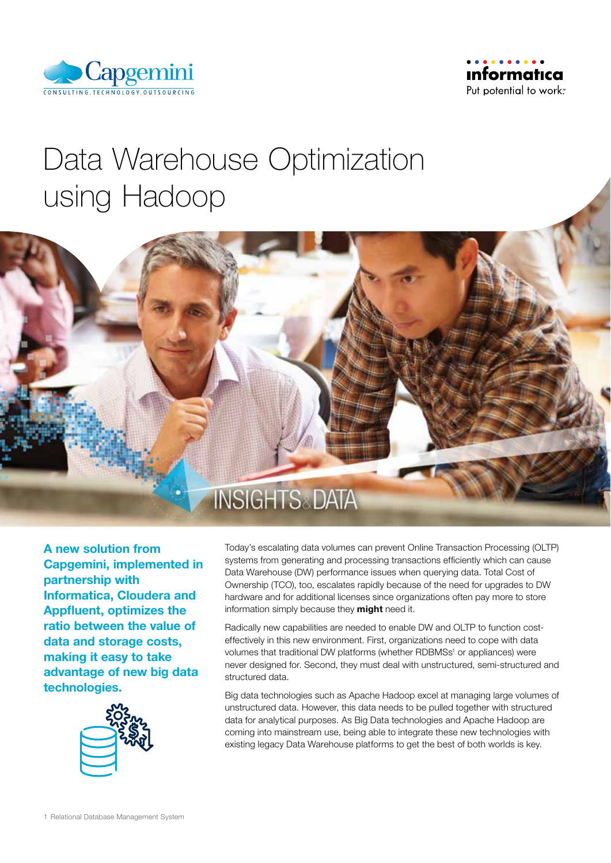



# Data Warehouse Optimization using Hadoop



A new solution from Capgemini, implemented in partnership with Informatica, Cloudera and Appfluent, optimizes the ratio between the value of data and storage costs, making it easy to take advantage of new big data technologies.



Today's escalating data volumes can prevent Online Transaction Processing (OLTP) systems from generating and processing transactions efficiently which can cause Data Warehouse (DW) performance issues when querying data. Total Cost of Ownership (TCO), too, escalates rapidly because of the need for upgrades to DW hardware and for additional licenses since organizations often pay more to store information simply because they might need it.

Radically new capabilities are needed to enable DW and OLTP to function costeffectively in this new environment. First, organizations need to cope with data volumes that traditional DW platforms (whether RDBMSs<sup>1</sup> or appliances) were never designed for. Second, they must deal with unstructured, semi-structured and structured data.

Big data technologies such as Apache Hadoop excel at managing large volumes of unstructured data. However, this data needs to be pulled together with structured data for analytical purposes. As Big Data technologies and Apache Hadoop are coming into mainstream use, being able to integrate these new technologies with existing legacy Data Warehouse platforms to get the best of both worlds is key.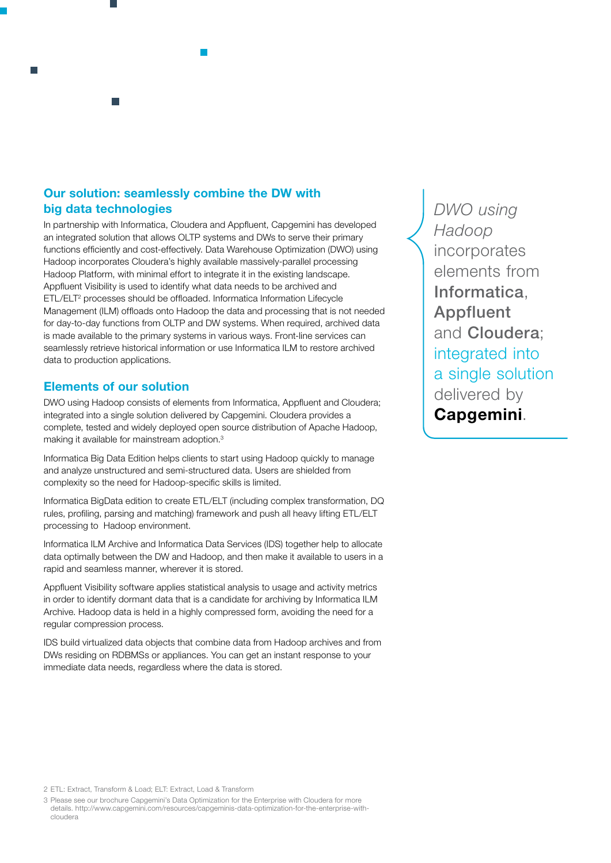# Our solution: seamlessly combine the DW with big data technologies

In partnership with Informatica, Cloudera and Appfluent, Capgemini has developed an integrated solution that allows OLTP systems and DWs to serve their primary functions efficiently and cost-effectively. Data Warehouse Optimization (DWO) using Hadoop incorporates Cloudera's highly available massively-parallel processing Hadoop Platform, with minimal effort to integrate it in the existing landscape. Appfluent Visibility is used to identify what data needs to be archived and ETL/ELT2 processes should be offloaded. Informatica Information Lifecycle Management (ILM) offloads onto Hadoop the data and processing that is not needed for day-to-day functions from OLTP and DW systems. When required, archived data is made available to the primary systems in various ways. Front-line services can seamlessly retrieve historical information or use Informatica ILM to restore archived data to production applications.

# Elements of our solution

DWO using Hadoop consists of elements from Informatica, Appfluent and Cloudera; integrated into a single solution delivered by Capgemini. Cloudera provides a complete, tested and widely deployed open source distribution of Apache Hadoop, making it available for mainstream adoption.3

Informatica Big Data Edition helps clients to start using Hadoop quickly to manage and analyze unstructured and semi-structured data. Users are shielded from complexity so the need for Hadoop-specific skills is limited.

Informatica BigData edition to create ETL/ELT (including complex transformation, DQ rules, profiling, parsing and matching) framework and push all heavy lifting ETL/ELT processing to Hadoop environment.

Informatica ILM Archive and Informatica Data Services (IDS) together help to allocate data optimally between the DW and Hadoop, and then make it available to users in a rapid and seamless manner, wherever it is stored.

Appfluent Visibility software applies statistical analysis to usage and activity metrics in order to identify dormant data that is a candidate for archiving by Informatica ILM Archive. Hadoop data is held in a highly compressed form, avoiding the need for a regular compression process.

IDS build virtualized data objects that combine data from Hadoop archives and from DWs residing on RDBMSs or appliances. You can get an instant response to your immediate data needs, regardless where the data is stored.

*DWO using Hadoop* incorporates elements from Informatica, Appfluent and Cloudera; integrated into a single solution delivered by Capgemini.

3 Please see our brochure Capgemini's Data Optimization for the Enterprise with Cloudera for more details. http://www.capgemini.com/resources/capgeminis-data-optimization-for-the-enterprise-withcloudera

<sup>2</sup> ETL: Extract, Transform & Load; ELT: Extract, Load & Transform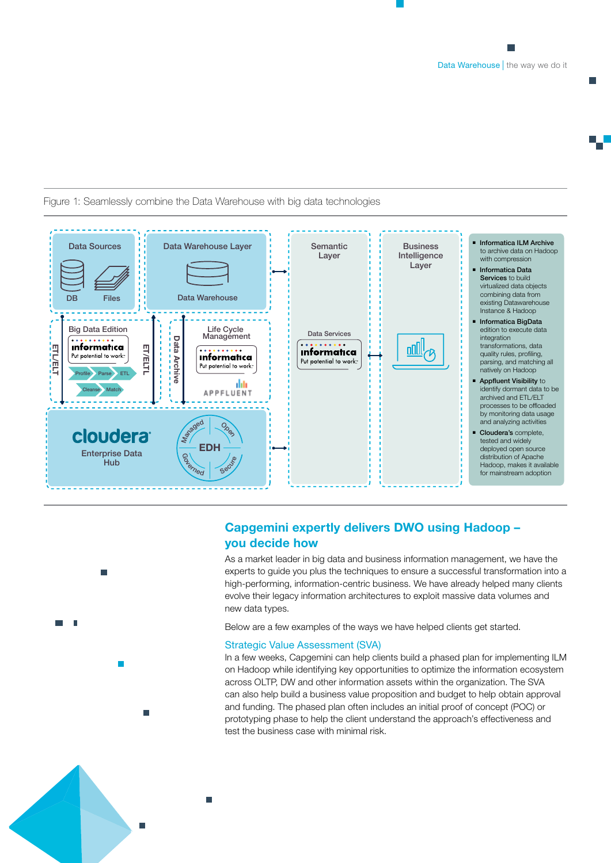m.



### Figure 1: Seamlessly combine the Data Warehouse with big data technologies



п

# Capgemini expertly delivers DWO using Hadoop – you decide how

As a market leader in big data and business information management, we have the experts to guide you plus the techniques to ensure a successful transformation into a high-performing, information-centric business. We have already helped many clients evolve their legacy information architectures to exploit massive data volumes and new data types.

Below are a few examples of the ways we have helped clients get started.

#### Strategic Value Assessment (SVA)

In a few weeks, Capgemini can help clients build a phased plan for implementing ILM on Hadoop while identifying key opportunities to optimize the information ecosystem across OLTP, DW and other information assets within the organization. The SVA can also help build a business value proposition and budget to help obtain approval and funding. The phased plan often includes an initial proof of concept (POC) or prototyping phase to help the client understand the approach's effectiveness and test the business case with minimal risk.

Ē